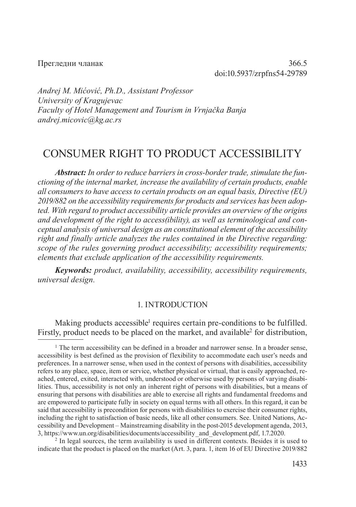Прегледни чланак 366.5 doi:10.5937/zrpfns54-29789

*Andrej М. Mićović, Ph.D., Assistant Professor University of Kragujevac Faculty of Hotel Management and Tourism in Vrnjačka Banja andrej.micovic@kg.ac.rs*

# CONSUMER RIGHT TO PRODUCT ACCESSIBILITY

*Abstract: In order to reduce barriers in cross-border trade, stimulate the functioning of the internal market, increase the availability of certain products, enable all consumers to have access to certain products on an equal basis, Directive (EU) 2019/882 on the accessibility requirements for products and services has been adopted. With regard to product accessibility article provides an overview of the origins and development of the right to access(ibility), as well as terminological and conceptual analysis of universal design as an constitutional element of the accessibility right and finally article analyzes the rules contained in the Directive regarding: scope of the rules governing product accessibility; accessibility requirements; elements that exclude application of the accessibility requirements.* 

*Keywords: product, availability, accessibility, accessibility requirements, universal design.*

#### 1. INTRODUCTION

Making products accessible<sup>1</sup> requires certain pre-conditions to be fulfilled. Firstly, product needs to be placed on the market, and available<sup>2</sup> for distribution,

<sup>2</sup> In legal sources, the term availability is used in different contexts. Besides it is used to indicate that the product is placed on the market (Art. 3, para. 1, item 16 of EU Directive 2019/882

<sup>&</sup>lt;sup>1</sup> The term accessibility can be defined in a broader and narrower sense. In a broader sense, accessibility is best defined as the provision of flexibility to accommodate each user's needs and preferences. In a narrower sense, when used in the context of persons with disabilities, accessibility refers to any place, space, item or service, whether physical or virtual, that is easily approached, reached, entered, exited, interacted with, understood or otherwise used by persons of varying disabilities. Thus, accessibility is not only an inherent right of persons with disabilities, but a means of ensuring that persons with disabilities are able to exercise all rights and fundamental freedoms and are empowered to participate fully in society on equal terms with all others. In this regard, it can be said that accessibility is precondition for persons with disabilities to exercise their consumer rights, including the right to satisfaction of basic needs, like all other consumers. See. United Nations, Accessibility and Development – Mainstreaming disability in the post-2015 development agenda, 2013, 3, https://www.un.org/disabilities/documents/accessibility\_and\_development.pdf, 1.7.2020.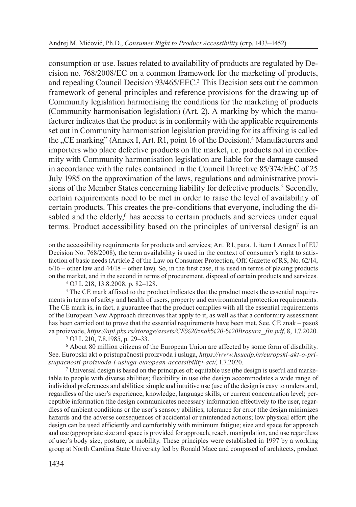consumption or use. Issues related to availability of products are regulated by Decision no. 768/2008/EC on a common framework for the marketing of products, and repealing Council Decision 93/465/EEC.3 This Decision sets out the common framework of general principles and reference provisions for the drawing up of Community legislation harmonising the conditions for the marketing of products (Community harmonisation legislation) (Art. 2). A marking by which the manufacturer indicates that the product is in conformity with the applicable requirements set out in Community harmonisation legislation providing for its affixing is called the "CE marking" (Annex I, Art. R1, point 16 of the Decision).4 Manufacturers and importers who place defective products on the market, i.e. products not in conformity with Community harmonisation legislation are liable for the damage caused in accordance with the rules contained in the Council Directive 85/374/EEC of 25 July 1985 on the approximation of the laws, regulations and administrative provisions of the Member States concerning liability for defective products.<sup>5</sup> Secondly, certain requirements need to be met in order to raise the level of availability of certain products. This creates the pre-conditions that everyone, including the disabled and the elderly,<sup>6</sup> has access to certain products and services under equal terms. Product accessibility based on the principles of universal design7 is an

<sup>4</sup> The CE mark affixed to the product indicates that the product meets the essential requirements in terms of safety and health of users, property and environmental protection requirements. The CE mark is, in fact, a guarantee that the product complies with all the essential requirements of the European New Approach directives that apply to it, as well as that a conformity assessment has been carried out to prove that the essential requirements have been met. See. CE znak – pasoš za proizvode, *https://api.pks.rs/storage/assets/CE%20znak%20-%20Brosura\_ fin.pdf*, 8, 1.7.2020.

 $\frac{7}{1}$  Universal design is based on the principles of: equitable use (the design is useful and marketable to people with diverse abilities; flexibility in use (the design accommodates a wide range of individual preferences and abilities; simple and intuitive use (use of the design is easy to understand, regardless of the user's experience, knowledge, language skills, or current concentration level; perceptible information (the design communicates necessary information effectively to the user, regardless of ambient conditions or the user's sensory abilities; tolerance for error (the design minimizes hazards and the adverse consequences of accidental or unintended actions; low physical effort (the design can be used efficiently and comfortably with minimum fatigue; size and space for approach and use (appropriate size and space is provided for approach, reach, manipulation, and use regardless of user's body size, posture, or mobility. These principles were established in 1997 by a working group at North Carolina State University led by Ronald Mace and composed of architects, product

on the accessibility requirements for products and services; Art. R1, para. 1, item 1 Annex I of EU Decision No. 768/2008), the term availability is used in the context of consumer's right to satisfaction of basic needs (Article 2 of the Law on Consumer Protection, Off. Gazette of RS, No. 62/14,  $6/16$  – other law and  $44/18$  – other law). So, in the first case, it is used in terms of placing products on the market, and in the second in terms of procurement, disposal of certain products and services. 3 OJ L 218, 13.8.2008, p. 82–128.

<sup>5</sup> OJ L 210, 7.8.1985, p. 29–33.

<sup>6</sup> About 80 million citizens of the European Union are affected by some form of disability. See. Europski akt o pristupačnosti proizvoda i usluga, *https://www.hsucdp.hr/europski-akt-o-pristupacnosti-proizvoda-i-usluga-european-accessibility-act/*, 1.7.2020.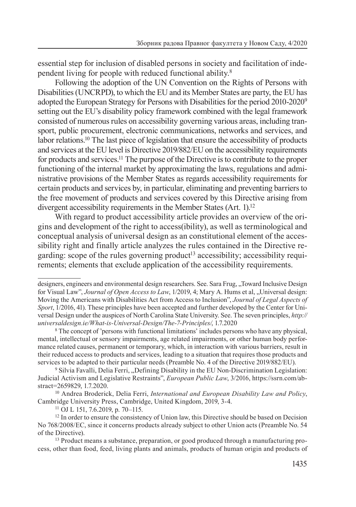essential step for inclusion of disabled persons in society and facilitation of independent living for people with reduced functional ability.8

Following the adoption of the UN Convention on the Rights of Persons with Disabilities (UNCRPD), to which the EU and its Member States are party, the EU has adopted the European Strategy for Persons with Disabilities for the period 2010-20209 setting out the EU's disability policy framework combined with the legal framework consisted of numerous rules on accessibility governing various areas, including transport, public procurement, electronic communications, networks and services, and labor relations.10 The last piece of legislation that ensure the accessibility of products and services at the EU level is Directive 2019/882/EU on the accessibility requirements for products and services.11 The purpose of the Directive is to contribute to the proper functioning of the internal market by approximating the laws, regulations and administrative provisions of the Member States as regards accessibility requirements for certain products and services by, in particular, eliminating and preventing barriers to the free movement of products and services covered by this Directive arising from divergent accessibility requirements in the Member States (Art. 1).<sup>12</sup>

With regard to product accessibility article provides an overview of the origins and development of the right to access(ibility), as well as terminological and conceptual analysis of universal design as an constitutional element of the accessibility right and finally article analyzes the rules contained in the Directive regarding: scope of the rules governing product<sup>13</sup> accessibility; accessibility requirements; elements that exclude application of the accessibility requirements.

<sup>13</sup> Product means a substance, preparation, or good produced through a manufacturing process, other than food, feed, living plants and animals, products of human origin and products of

designers, engineers and environmental design researchers. See. Sara Frug, "Toward Inclusive Design for Visual Law", *Journal of Open Access to Law*, 1/2019, 4; Mary A. Hums et al, "Universal design: Moving the Americans with Disabilities Act from Access to Inclusion", *Journal of Legal Aspects of Sport*, 1/2016, 41). These principles have been accepted and further developed by the Center for Universal Design under the auspices of North Carolina State University. See. The seven principles, *http:// universaldesign.ie/What-is-Universal-Design/The-7-Principles/*, 1.7.2020

<sup>8</sup> The concept of 'persons with functional limitations' includes persons who have any physical, mental, intellectual or sensory impairments, age related impairments, or other human body performance related causes, permanent or temporary, which, in interaction with various barriers, result in their reduced access to products and services, leading to a situation that requires those products and services to be adapted to their particular needs (Preamble No. 4 of the Directive 2019/882/EU).

<sup>&</sup>lt;sup>9</sup> Silvia Favalli, Delia Ferri, "Defining Disability in the EU Non-Discrimination Legislation: Judicial Activism and Legislative Restraints", *European Public Law*, 3/2016, https://ssrn.com/abstract=2659829, 1.7.2020.

<sup>10</sup> Andrea Broderick, Delia Ferri, *International and European Disability Law and Policy*, Cambridge University Press, Cambridge, United Kingdom, 2019, 3-4. 11 OJ L 151, 7.6.2019, p. 70–115.

<sup>&</sup>lt;sup>12</sup> In order to ensure the consistency of Union law, this Directive should be based on Decision No 768/2008/EC, since it concerns products already subject to other Union acts (Preamble No. 54 of the Directive).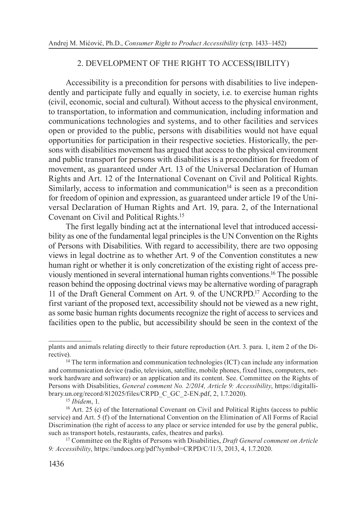## 2. DEVELOPMENT OF THE RIGHT TO ACCESS(IBILITY)

Accessibility is a precondition for persons with disabilities to live independently and participate fully and equally in society, i.e. to exercise human rights (civil, economic, social and cultural). Without access to the physical environment, to transportation, to information and communication, including information and communications technologies and systems, and to other facilities and services open or provided to the public, persons with disabilities would not have equal opportunities for participation in their respective societies. Historically, the persons with disabilities movement has argued that access to the physical environment and public transport for persons with disabilities is a precondition for freedom of movement, as guaranteed under Art. 13 of the Universal Declaration of Human Rights and Art. 12 of the International Covenant on Civil and Political Rights. Similarly, access to information and communication $14$  is seen as a precondition for freedom of opinion and expression, as guaranteed under article 19 of the Universal Declaration of Human Rights and Art. 19, para. 2, of the International Covenant on Civil and Political Rights.15

The first legally binding act at the international level that introduced accessibility as one of the fundamental legal principles is the UN Convention on the Rights of Persons with Disabilities. With regard to accessibility, there are two opposing views in legal doctrine as to whether Art. 9 of the Convention constitutes a new human right or whether it is only concretization of the existing right of access previously mentioned in several international human rights conventions.16 The possible reason behind the opposing doctrinal views may be alternative wording of paragraph 11 of the Draft General Comment on Art. 9. of the UNCRPD.17 According to the first variant of the proposed text, accessibility should not be viewed as a new right, as some basic human rights documents recognize the right of access to services and facilities open to the public, but accessibility should be seen in the context of the

plants and animals relating directly to their future reproduction (Art. 3. para. 1, item 2 of the Directive).

 $14$  The term information and communication technologies (ICT) can include any information and communication device (radio, television, satellite, mobile phones, fixed lines, computers, network hardware and software) or an application and its content. See. Committee on the Rights of Persons with Disabilities, *General comment No. 2/2014, Article 9: Accessibility*, https://digitallibrary.un.org/record/812025/files/CRPD\_C\_GC\_2-EN.pdf, 2, 1.7.2020).

<sup>15</sup> *Ibidem*, 1.

<sup>16</sup> Art. 25 (c) of the International Covenant on Civil and Political Rights (access to public service) and Art. 5 (f) of the International Convention on the Elimination of All Forms of Racial Discrimination (the right of access to any place or service intended for use by the general public, such as transport hotels, restaurants, cafes, theatres and parks).

<sup>17</sup> Committee on the Rights of Persons with Disabilities, *Draft General comment on Article 9: Accessibility*, https://undocs.org/pdf?symbol=CRPD/C/11/3, 2013, 4, 1.7.2020.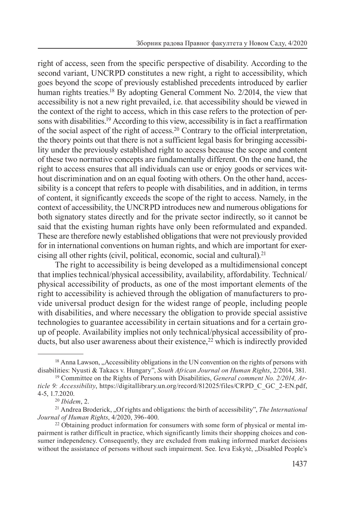right of access, seen from the specific perspective of disability. According to the second variant, UNCRPD constitutes a new right, a right to accessibility, which goes beyond the scope of previously established precedents introduced by earlier human rights treaties.<sup>18</sup> By adopting General Comment No. 2/2014, the view that accessibility is not a new right prevailed, i.e. that accessibility should be viewed in the context of the right to access, which in this case refers to the protection of persons with disabilities.<sup>19</sup> According to this view, accessibility is in fact a reaffirmation of the social aspect of the right of access.20 Contrary to the official interpretation, the theory points out that there is not a sufficient legal basis for bringing accessibility under the previously established right to access because the scope and content of these two normative concepts are fundamentally different. On the one hand, the right to access ensures that all individuals can use or enjoy goods or services without discrimination and on an equal footing with others. On the other hand, accessibility is a concept that refers to people with disabilities, and in addition, in terms of content, it significantly exceeds the scope of the right to access. Namely, in the context of accessibility, the UNCRPD introduces new and numerous obligations for both signatory states directly and for the private sector indirectly, so it cannot be said that the existing human rights have only been reformulated and expanded. These are therefore newly established obligations that were not previously provided for in international conventions on human rights, and which are important for exercising all other rights (civil, political, economic, social and cultural).21

The right to accessibility is being developed as a multidimensional concept that implies technical/physical accessibility, availability, affordability. Technical/ physical accessibility of products, as one of the most important elements of the right to accessibility is achieved through the obligation of manufacturers to provide universal product design for the widest range of people, including people with disabilities, and where necessary the obligation to provide special assistive technologies to guarantee accessibility in certain situations and for a certain group of people. Availability implies not only technical/physical accessibility of products, but also user awareness about their existence,  $2\overline{2}$  which is indirectly provided

 $18$  Anna Lawson,  $\Delta$  Accessibility obligations in the UN convention on the rights of persons with disabilities: Nyusti & Takacs v. Hungary", *South African Journal on Human Rights*, 2/2014, 381.

<sup>19</sup> Committee on the Rights of Persons with Disabilities, *General comment No. 2/2014, Article 9: Accessibility*, https://digitallibrary.un.org/record/812025/files/CRPD\_C\_GC\_2-EN.pdf, 4-5, 1.7.2020.

<sup>20</sup> *Ibidem*, 2.

<sup>21</sup> Andrea Broderick, "Of rights and obligations: the birth of accessibility", *The International Journal of Human Rights*, 4/2020, 396-400.

<sup>&</sup>lt;sup>22</sup> Obtaining product information for consumers with some form of physical or mental impairment is rather difficult in practice, which significantly limits their shopping choices and consumer independency. Consequently, they are excluded from making informed market decisions without the assistance of persons without such impairment. See. Ieva Eskytė, "Disabled People's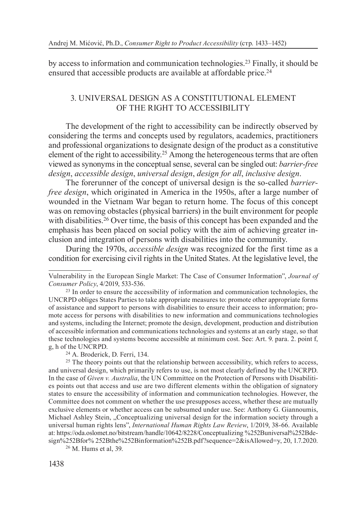by access to information and communication technologies.23 Finally, it should be ensured that accessible products are available at affordable price.<sup>24</sup>

## 3. UNIVERSAL DESIGN AS A CONSTITUTIONAL ELEMENT OF THE RIGHT TO ACCESSIBILITY

The development of the right to accessibility can be indirectly observed by considering the terms and concepts used by regulators, academics, practitioners and professional organizations to designate design of the product as a constitutive element of the right to accessibility.25 Among the heterogeneous terms that are often viewed as synonyms in the conceptual sense, several can be singled out: *barrier-free design*, *accessible design*, *universal design*, *design for all*, *inclusive design*.

The forerunner of the concept of universal design is the so-called *barrierfree design*, which originated in America in the 1950s, after a large number of wounded in the Vietnam War began to return home. The focus of this concept was on removing obstacles (physical barriers) in the built environment for people with disabilities.<sup>26</sup> Over time, the basis of this concept has been expanded and the emphasis has been placed on social policy with the aim of achieving greater inclusion and integration of persons with disabilities into the community.

During the 1970s, *accessible design* was recognized for the first time as a condition for exercising civil rights in the United States. At the legislative level, the

<sup>26</sup> М. Hums et al, 39.

Vulnerability in the European Single Market: The Case of Consumer Information", *Journal of Consumer Policy*, 4/2019, 533-536. 23 In order to ensure the accessibility of information and communication technologies, the

UNCRPD obliges States Parties to take appropriate measures to: promote other appropriate forms of assistance and support to persons with disabilities to ensure their access to information; promote access for persons with disabilities to new information and communications technologies and systems, including the Internet; promote the design, development, production and distribution of accessible information and communications technologies and systems at an early stage, so that these technologies and systems become accessible at minimum cost. See: Art. 9. para. 2. point f, g, h of the UNCRPD.

<sup>24</sup> A. Broderick, D. Ferri, 134.

<sup>&</sup>lt;sup>25</sup> The theory points out that the relationship between accessibility, which refers to access, and universal design, which primarily refers to use, is not most clearly defined by the UNCRPD. In the case of *Given v. Australia*, the UN Committee on the Protection of Persons with Disabilities points out that access and use are two different elements within the obligation of signatory states to ensure the accessibility of information and communication technologies. However, the Committee does not comment on whether the use presupposes access, whether these are mutually exclusive elements or whether access can be subsumed under use. See: Anthony G. Giannoumis, Michael Ashley Stein, "Conceptualizing universal design for the information society through a universal human rights lens", *International Human Rights Law Review*, 1/2019, 38-66. Available at: https://oda.oslomet.no/bitstream/handle/10642/8228/Conceptualizing %252Buniversal%252Bdesign%252Bfor% 252Bthe%252Binformation%252B.pdf?sequence=2&isAllowed=y, 20, 1.7.2020.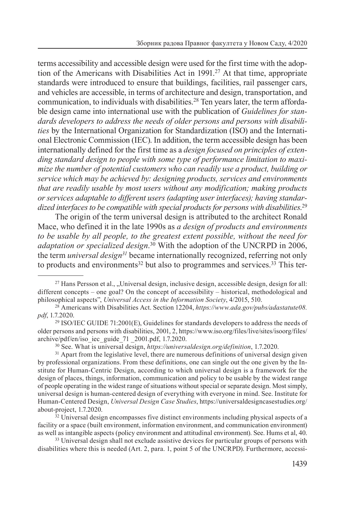terms accessibility and accessible design were used for the first time with the adoption of the Americans with Disabilities Act in 1991.<sup>27</sup> At that time, appropriate standards were introduced to ensure that buildings, facilities, rail passenger cars, and vehicles are accessible, in terms of architecture and design, transportation, and communication, to individuals with disabilities.<sup>28</sup> Ten years later, the term affordable design came into international use with the publication of *Guidelines for standards developers to address the needs of older persons and persons with disabilities* by the International Organization for Standardization (ISO) and the International Electronic Commission (IEC). In addition, the term accessible design has been internationally defined for the first time as a *design focused on principles of extending standard design to people with some type of performance limitation to maximize the number of potential customers who can readily use a product, building or service which may be achieved by: designing products, services and environments that are readily usable by most users without any modification; making products or services adaptable to different users (adapting user interfaces); having standardized interfaces to be compatible with special products for persons with disabilities*. 29

The origin of the term universal design is attributed to the architect Ronald Mace, who defined it in the late 1990s as *a design of products and environments to be usable by all people, to the greatest extent possible, without the need for*  adaptation or specialized design.<sup>30</sup> With the adoption of the UNCRPD in 2006, the term *universal design31* became internationally recognized, referring not only to products and environments<sup>32</sup> but also to programmes and services.<sup>33</sup> This ter-

<sup>30</sup> See. What is universal design, *https://universaldesign.org/definition*, 1.7.2020.

<sup>&</sup>lt;sup>27</sup> Hans Persson et al., "Universal design, inclusive design, accessible design, design for all: different concepts – one goal? On the concept of accessibility – historical, methodological and philosophical aspects", *Universal Access in the Information Society*, 4/2015, 510.

<sup>28</sup> Americans with Disabilities Act. Section 12204, *https://www.ada.gov/pubs/adastatute08. pdf*, 1.7.2020.

 $29$  ISO/IEC GUIDE 71:2001(E), Guidelines for standards developers to address the needs of older persons and persons with disabilities, 2001, 2, https://www.iso.org/files/live/sites/isoorg/files/<br>archive/pdf/en/iso iec guide 71 2001.pdf, 1.7.2020.

<sup>&</sup>lt;sup>31</sup> Apart from the legislative level, there are numerous definitions of universal design given by professional organizations. From these definitions, one can single out the one given by the Institute for Human-Centric Design, according to which universal design is a framework for the design of places, things, information, communication and policy to be usable by the widest range of people operating in the widest range of situations without special or separate design. Most simply, universal design is human-centered design of everything with everyone in mind. See. Institute for Human-Centered Design, *Universal Design Case Studies*, https://universaldesigncasestudies.org/ about-project, 1.7.2020.

<sup>&</sup>lt;sup>32</sup> Universal design encompasses five distinct environments including physical aspects of a facility or a space (built environment, information environment, and communication environment) as well as intangible aspects (policy environment and attitudinal environment). See. Hums et al, 40.

<sup>&</sup>lt;sup>33</sup> Universal design shall not exclude assistive devices for particular groups of persons with disabilities where this is needed (Art. 2, para. 1, point 5 of the UNCRPD). Furthermore, accessi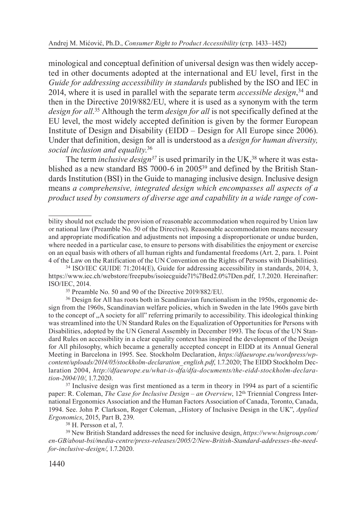minological and conceptual definition of universal design was then widely accepted in other documents adopted at the international and EU level, first in the *Guide for addressing accessibility in standards* published by the ISO and IEC in 2014, where it is used in parallel with the separate term *accessible design*, 34 and then in the Directive 2019/882/EU, where it is used as a synonym with the term *design for all*. 35 Although the term *design for all* is not specifically defined at the EU level, the most widely accepted definition is given by the former European Institute of Design and Disability (EIDD – Design for All Europe since 2006). Under that definition, design for all is understood as a *design for human diversity, social inclusion and equality*. 36

The term *inclusive design*<sup>37</sup> is used primarily in the UK,<sup>38</sup> where it was established as a new standard BS 7000-6 in 200539 and defined by the British Standards Institution (BSI) in the Guide to managing inclusive design. Inclusive design means *a comprehensive, integrated design which encompasses all aspects of a product used by consumers of diverse age and capability in a wide range of con-*

<sup>39</sup> New British Standard addresses the need for inclusive design, *https://www.bsigroup.com/ en-GB/about-bsi/media-centre/press-releases/2005/2/New-British-Standard-addresses-the-needfor-inclusive-design/*, 1.7.2020.

bility should not exclude the provision of reasonable accommodation when required by Union law or national law (Preamble No. 50 of the Directive). Reasonable accommodation means necessary and appropriate modification and adjustments not imposing a disproportionate or undue burden, where needed in a particular case, to ensure to persons with disabilities the enjoyment or exercise on an equal basis with others of all human rights and fundamental freedoms (Art. 2, para. 1. Point 4 of the Law on the Ratification of the UN Convention on the Rights of Persons with Disabilities).

<sup>34</sup> ISO/IEC GUIDE 71:2014(E), Guide for addressing accessibility in standards, 2014, 3, https://www.iec.ch/webstore/freepubs/isoiecguide71%7Bed2.0%7Den.pdf, 1.7.2020. Hereinafter: ISO/IEC, 2014.

<sup>35</sup> Preamble No. 50 and 90 of the Directive 2019/882/EU.

<sup>&</sup>lt;sup>36</sup> Design for All has roots both in Scandinavian functionalism in the 1950s, ergonomic design from the 1960s, Scandinavian welfare policies, which in Sweden in the late 1960s gave birth to the concept of "A society for all" referring primarily to accessibility. This ideological thinking was streamlined into the UN Standard Rules on the Equalization of Opportunities for Persons with Disabilities, adopted by the UN General Assembly in December 1993. The focus of the UN Standard Rules on accessibility in a clear equality context has inspired the development of the Design for All philosophy, which became a generally accepted concept in EIDD at its Annual General Meeting in Barcelona in 1995. See. Stockholm Declaration, *https://dfaeurope.eu/wordpress/wpcontent/uploads/2014/05/stockholm-declaration\_english.pdf*, 1.7.2020; The EIDD Stockholm Declaration 2004, *http://dfaeurope.eu/what-is-dfa/dfa-documents/the-eidd-stockholm-declaration-2004/10/*, 1.7.2020.

<sup>&</sup>lt;sup>37</sup> Inclusive design was first mentioned as a term in theory in 1994 as part of a scientific paper: R. Coleman, *The Case for Inclusive Design – an Overview*, 12th Triennial Congress International Ergonomics Association and the Human Factors Association of Canada, Toronto, Canada, 1994. See. John P. Clarkson, Roger Coleman, "History of Inclusive Design in the UK", *Applied Ergonomics*, 2015, Part B, 239. 38 H. Persson et al, 7.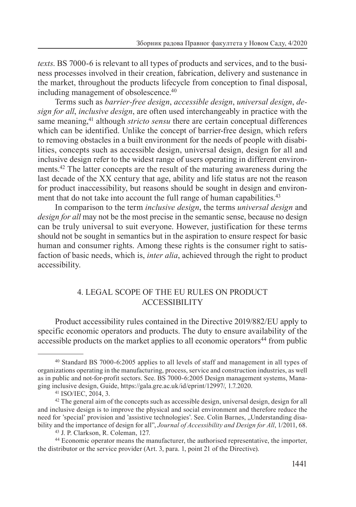*texts*. BS 7000-6 is relevant to all types of products and services, and to the business processes involved in their creation, fabrication, delivery and sustenance in the market, throughout the products lifecycle from conception to final disposal, including management of obsolescence.40

Terms such as *barrier-free design*, *accessible design*, *universal design*, *design for all*, *inclusive design*, are often used interchangeably in practice with the same meaning,<sup>41</sup> although *stricto sensu* there are certain conceptual differences which can be identified. Unlike the concept of barrier-free design, which refers to removing obstacles in a built environment for the needs of people with disabilities, concepts such as accessible design, universal design, design for all and inclusive design refer to the widest range of users operating in different environments.<sup>42</sup> The latter concepts are the result of the maturing awareness during the last decade of the XX century that age, ability and life status are not the reason for product inaccessibility, but reasons should be sought in design and environment that do not take into account the full range of human capabilities.<sup>43</sup>

In comparison to the term *inclusive design*, the terms *universal design* and *design for all* may not be the most precise in the semantic sense, because no design can be truly universal to suit everyone. However, justification for these terms should not be sought in semantics but in the aspiration to ensure respect for basic human and consumer rights. Among these rights is the consumer right to satisfaction of basic needs, which is, *inter alia*, achieved through the right to product accessibility.

## 4. LEGAL SCOPE OF THE EU RULES ON PRODUCT ACCESSIBILITY

Product accessibility rules contained in the Directive 2019/882/EU apply to specific economic operators and products. The duty to ensure availability of the  $accessible$  products on the market applies to all economic operators<sup>44</sup> from public

<sup>40</sup> Standard BS 7000-6:2005 applies to all levels of staff and management in all types of organizations operating in the manufacturing, process, service and construction industries, as well as in public and not-for-profit sectors. See. BS 7000-6:2005 Design management systems, Managing inclusive design, Guide, https://gala.gre.ac.uk/id/eprint/12997/, 1.7.2020.

<sup>41</sup> ISO/IEC, 2014, 3.

 $42$  The general aim of the concepts such as accessible design, universal design, design for all and inclusive design is to improve the physical and social environment and therefore reduce the need for 'special' provision and 'assistive technologies'. See. Colin Barnes, "Understanding disability and the importance of design for all", *Journal of Accessibility and Design for All*, 1/2011, 68. 43 J. P. Clarkson, R. Coleman, 127.

<sup>44</sup> Economic operator means the manufacturer, the authorised representative, the importer, the distributor or the service provider (Art. 3, para. 1, point 21 of the Directive).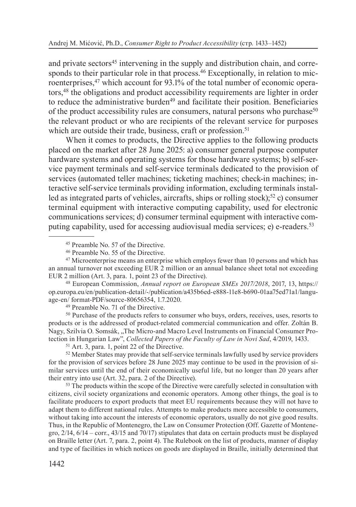and private sectors<sup>45</sup> intervening in the supply and distribution chain, and corresponds to their particular role in that process.<sup>46</sup> Exceptionally, in relation to microenterprises,<sup>47</sup> which account for 93.1% of the total number of economic operators,48 the obligations and product accessibility requirements are lighter in order to reduce the administrative burden<sup>49</sup> and facilitate their position. Beneficiaries of the product accessibility rules are consumers, natural persons who purchase<sup>50</sup> the relevant product or who are recipients of the relevant service for purposes which are outside their trade, business, craft or profession.<sup>51</sup>

When it comes to products, the Directive applies to the following products placed on the market after 28 June 2025: a) consumer general purpose computer hardware systems and operating systems for those hardware systems; b) self-service payment terminals and self-service terminals dedicated to the provision of services (automated teller machines; ticketing machines; check-in machines; interactive self-service terminals providing information, excluding terminals installed as integrated parts of vehicles, aircrafts, ships or rolling stock);<sup>52</sup> c) consumer terminal equipment with interactive computing capability, used for electronic communications services; d) consumer terminal equipment with interactive computing capability, used for accessing audiovisual media services; e) e-readers.53

<sup>48</sup> European Commission, *Annual report on European SMEs 2017/2018*, 2017, 13, https:// op.europa.eu/en/publication-detail/-/publication/a435b6ed-e888-11e8-b690-01aa75ed71a1/language-en/ format-PDF/source-80656354, 1.7.2020.

<sup>49</sup> Preamble No. 71 of the Directive.

<sup>50</sup> Purchase of the products refers to consumer who buys, orders, receives, uses, resorts to products or is the addressed of product-related commercial communication and offer. Zoltán B. Nagy, Szilvia O. Somsák, "The Micro-and Macro Level Instruments on Financial Consumer Protection in Hungarian Law", *Collected Papers of the Faculty of Law in Novi Sad*, 4/2019, 1433. 51 Art. 3, para. 1, point 22 of the Directive.

<sup>52</sup> Member States may provide that self-service terminals lawfully used by service providers for the provision of services before 28 June 2025 may continue to be used in the provision of similar services until the end of their economically useful life, but no longer than 20 years after their entry into use (Art. 32, para. 2 of the Directive).

<sup>53</sup> The products within the scope of the Directive were carefully selected in consultation with citizens, civil society organizations and economic operators. Among other things, the goal is to facilitate producers to export products that meet EU requirements because they will not have to adapt them to different national rules. Attempts to make products more accessible to consumers, without taking into account the interests of economic operators, usually do not give good results. Thus, in the Republic of Montenegro, the Law on Consumer Protection (Off. Gazette of Montenegro, 2/14, 6/14 – corr., 43/15 and 70/17) stipulates that data on certain products must be displayed on Braille letter (Art. 7, para. 2, point 4). The Rulebook on the list of products, manner of display and type of facilities in which notices on goods are displayed in Braille, initially determined that

<sup>45</sup> Preamble No. 57 of the Directive.

<sup>46</sup> Preamble No. 55 of the Directive.

<sup>&</sup>lt;sup>47</sup> Microenterprise means an enterprise which employs fewer than 10 persons and which has an annual turnover not exceeding EUR 2 million or an annual balance sheet total not exceeding EUR 2 million (Art. 3, para. 1, point 23 of the Directive).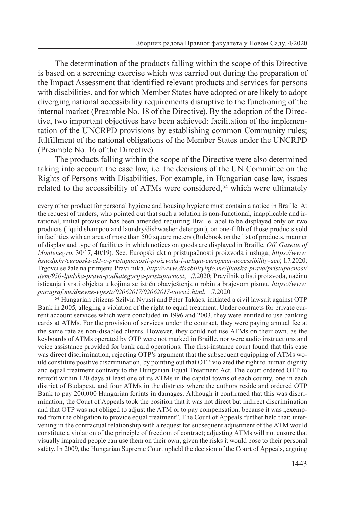The determination of the products falling within the scope of this Directive is based on a screening exercise which was carried out during the preparation of the Impact Assessment that identified relevant products and services for persons with disabilities, and for which Member States have adopted or are likely to adopt diverging national accessibility requirements disruptive to the functioning of the internal market (Preamble No. 18 of the Directive). By the adoption of the Directive, two important objectives have been achieved: facilitation of the implementation of the UNCRPD provisions by establishing common Community rules; fulfillment of the national obligations of the Member States under the UNCRPD (Preamble No. 16 of the Directive).

The products falling within the scope of the Directive were also determined taking into account the case law, i.e. the decisions of the UN Committee on the Rights of Persons with Disabilities. For example, in Hungarian case law, issues related to the accessibility of ATMs were considered,<sup>54</sup> which were ultimately

<sup>54</sup> Hungarian citizens Szilvia Nyusti and Péter Takács, initiated a civil lawsuit against OTP Bank in 2005, alleging a violation of the right to equal treatment. Under contracts for private current account services which were concluded in 1996 and 2003, they were entitled to use banking cards at ATMs. For the provision of services under the contract, they were paying annual fee at the same rate as non-disabled clients. However, they could not use ATMs on their own, as the keyboards of ATMs operated by OTP were not marked in Braille, nor were audio instructions and voice assistance provided for bank card operations. The first-instance court found that this case was direct discrimination, rejecting OTP's argument that the subsequent equipping of ATMs would constitute positive discrimination, by pointing out that OTP violated the right to human dignity and equal treatment contrary to the Hungarian Equal Treatment Act. The court ordered OTP to retrofit within 120 days at least one of its ATMs in the capital towns of each county, one in each district of Budapest, and four ATMs in the districts where the authors reside and ordered OTP Bank to pay 200,000 Hungarian forints in damages. Although it confirmed that this was discrimination, the Court of Appeals took the position that it was not direct but indirect discrimination and that OTP was not obliged to adjust the ATM or to pay compensation, because it was "exempted from the obligation to provide equal treatment". The Court of Appeals further held that: intervening in the contractual relationship with a request for subsequent adjustment of the ATM would constitute a violation of the principle of freedom of contract; adjusting ATMs will not ensure that visually impaired people can use them on their own, given the risks it would pose to their personal safety. In 2009, the Hungarian Supreme Court upheld the decision of the Court of Appeals, arguing

every other product for personal hygiene and housing hygiene must contain a notice in Braille. At the request of traders, who pointed out that such a solution is non-functional, inapplicable and irrational, initial provision has been amended requiring Braille label to be displayed only on two products (liquid shampoo and laundry/dishwasher detergent), on one-fifth of those products sold in facilities with an area of more than 500 square meters (Rulebook on the list of products, manner of display and type of facilities in which notices on goods are displayed in Braille, *Off. Gazette of Montenegro*, 30/17, 40/19). See. Europski akt o pristupačnosti proizvoda i usluga, *https://www. hsucdp.hr/europski-akt-o-pristupacnosti-proizvoda-i-usluga-european-accessibility-act/*, 1.7.2020; Trgovci se žale na primjenu Pravilnika, *http://www.disabilityinfo.me/ljudska-prava/pristupacnost/ item/950-ljudska-prava-podkategorija-pristupacnost*, 1.7.2020; Pravilnik o listi proizvoda, načinu isticanja i vrsti objekta u kojima se ističu obavještenja o robin a brajevom pismu, *https://www. paragraf.me/dnevne-vijesti/02062017/02062017-vijest2.html*, 1.7.2020.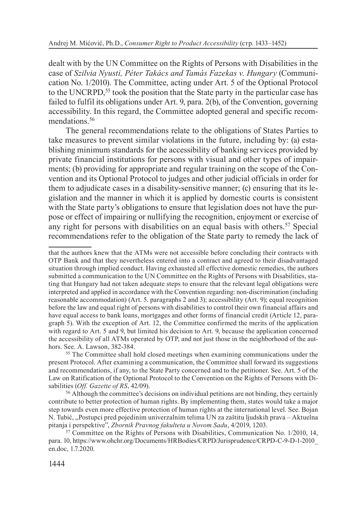dealt with by the UN Committee on the Rights of Persons with Disabilities in the case of *Szilvia Nyusti, Péter Takács and Tamás Fazekas v. Hungary* (Communication No. 1/2010). The Committee, acting under Art. 5 of the Optional Protocol to the UNCRPD,<sup>55</sup> took the position that the State party in the particular case has failed to fulfil its obligations under Art. 9, para.  $2(b)$ , of the Convention, governing accessibility. In this regard, the Committee adopted general and specific recommendations.<sup>56</sup>

The general recommendations relate to the obligations of States Parties to take measures to prevent similar violations in the future, including by: (a) establishing minimum standards for the accessibility of banking services provided by private financial institutions for persons with visual and other types of impairments; (b) providing for appropriate and regular training on the scope of the Convention and its Optional Protocol to judges and other judicial officials in order for them to adjudicate cases in a disability-sensitive manner; (c) ensuring that its legislation and the manner in which it is applied by domestic courts is consistent with the State party's obligations to ensure that legislation does not have the purpose or effect of impairing or nullifying the recognition, enjoyment or exercise of any right for persons with disabilities on an equal basis with others.57 Special recommendations refer to the obligation of the State party to remedy the lack of

that the authors knew that the ATMs were not accessible before concluding their contracts with OTP Bank and that they nevertheless entered into a contract and agreed to their disadvantaged situation through implied conduct. Having exhausted all effective domestic remedies, the authors submitted a communication to the UN Committee on the Rights of Persons with Disabilities, stating that Hungary had not taken adequate steps to ensure that the relevant legal obligations were interpreted and applied in accordance with the Convention regarding: non-discrimination (including reasonable accommodation) (Art. 5. paragraphs 2 and 3); accessibility (Art. 9); equal recognition before the law and equal right of persons with disabilities to control their own financial affairs and have equal access to bank loans, mortgages and other forms of financial credit (Article 12, paragraph 5). With the exception of Art. 12, the Committee confirmed the merits of the application with regard to Art. 5 and 9, but limited his decision to Art. 9, because the application concerned the accessibility of all ATMs operated by OTP, and not just those in the neighborhood of the authors. See. А. Lawson, 382-384.

<sup>&</sup>lt;sup>55</sup> The Committee shall hold closed meetings when examining communications under the present Protocol. After examining a communication, the Committee shall forward its suggestions and recommendations, if any, to the State Party concerned and to the petitioner. See. Art. 5 of the Law on Ratification of the Optional Protocol to the Convention on the Rights of Persons with Disabilities (*Off. Gazette of RS*, 42/09).

<sup>&</sup>lt;sup>56</sup> Although the committee's decisions on individual petitions are not binding, they certainly contribute to better protection of human rights. By implementing them, states would take a major step towards even more effective protection of human rights at the international level. See. Bojan N. Tubić, "Postupci pred pojedinim univerzalnim telima UN za zaštitu ljudskih prava – Aktuelna pitanja i perspektive", *Zbornik Pravnog fakulteta u Novom Sadu*, 4/2019, 1203.

<sup>57</sup> Committee on the Rights of Persons with Disabilities, Communication No. 1/2010, 14, para. 10, https://www.ohchr.org/Documents/HRBodies/CRPD/Jurisprudence/CRPD-C-9-D-1-2010\_ en.doc, 1.7.2020.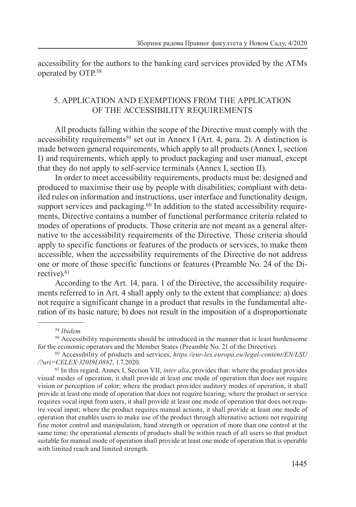accessibility for the authors to the banking card services provided by the ATMs operated by OTP.58

## 5. APPLICATION AND EXEMPTIONS FROM THE APPLICATION OF THE ACCESSIBILITY REQUIREMENTS

All products falling within the scope of the Directive must comply with the accessibility requirements<sup>59</sup> set out in Annex I (Art. 4, para. 2). A distinction is made between general requirements, which apply to all products (Annex I, section I) and requirements, which apply to product packaging and user manual, except that they do not apply to self-service terminals (Annex I, section II).

In order to meet accessibility requirements, products must be: designed and produced to maximise their use by people with disabilities; compliant with detailed rules on information and instructions, user interface and functionality design, support services and packaging.<sup>60</sup> In addition to the stated accessibility requirements, Directive contains a number of functional performance criteria related to modes of operations of products. Those criteria are not meant as a general alternative to the accessibility requirements of the Directive. Those criteria should apply to specific functions or features of the products or services, to make them accessible, when the accessibility requirements of the Directive do not address one or more of those specific functions or features (Preamble No. 24 of the Directive).<sup>61</sup>

According to the Art. 14, para. 1 of the Directive, the accessibility requirements referred to in Art. 4 shall apply only to the extent that compliance: a) does not require a significant change in a product that results in the fundamental alteration of its basic nature; b) does not result in the imposition of a disproportionate

<sup>58</sup> *Ibidem*

<sup>59</sup> Accessibility requirements should be introduced in the manner that is least burdensome for the economic operators and the Member States (Preamble No. 21 of the Directive).

<sup>60</sup> Accessibility of products and services, *https://eur-lex.europa.eu/legal-content/EN/LSU /?uri=CELEX:32019L0882*, 1.7.2020.

<sup>61</sup> In this regard, Annex I, Section VII, *inter alia*, provides that: where the product provides visual modes of operation, it shall provide at least one mode of operation that does not require vision or perception of color; where the product provides auditory modes of operation, it shall provide at least one mode of operation that does not require hearing; where the product or service requires vocal input from users, it shall provide at least one mode of operation that does not require vocal input; where the product requires manual actions, it shall provide at least one mode of operation that enables users to make use of the product through alternative actions not requiring fine motor control and manipulation, hand strength or operation of more than one control at the same time; the operational elements of products shall be within reach of all users so that product suitable for manual mode of operation shall provide at least one mode of operation that is operable with limited reach and limited strength.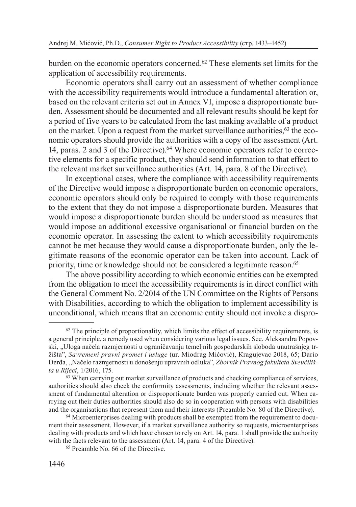burden on the economic operators concerned.<sup>62</sup> These elements set limits for the application of accessibility requirements.

Economic operators shall carry out an assessment of whether compliance with the accessibility requirements would introduce a fundamental alteration or, based on the relevant criteria set out in Annex VI, impose a disproportionate burden. Assessment should be documented and all relevant results should be kept for a period of five years to be calculated from the last making available of a product on the market. Upon a request from the market surveillance authorities,  $63$  the economic operators should provide the authorities with a copy of the assessment (Art. 14, paras. 2 and 3 of the Directive).64 Where economic operators refer to corrective elements for a specific product, they should send information to that effect to the relevant market surveillance authorities (Art. 14, para. 8 of the Directive).

In exceptional cases, where the compliance with accessibility requirements of the Directive would impose a disproportionate burden on economic operators, economic operators should only be required to comply with those requirements to the extent that they do not impose a disproportionate burden. Measures that would impose a disproportionate burden should be understood as measures that would impose an additional excessive organisational or financial burden on the economic operator. In assessing the extent to which accessibility requirements cannot be met because they would cause a disproportionate burden, only the legitimate reasons of the economic operator can be taken into account. Lack of priority, time or knowledge should not be considered a legitimate reason.<sup>65</sup>

The above possibility according to which economic entities can be exempted from the obligation to meet the accessibility requirements is in direct conflict with the General Comment No. 2/2014 of the UN Committee on the Rights of Persons with Disabilities, according to which the obligation to implement accessibility is unconditional, which means that an economic entity should not invoke a dispro-

 $62$  The principle of proportionality, which limits the effect of accessibility requirements, is a general principle, a remedy used when considering various legal issues. See. Aleksandra Popovski, "Uloga načela razmjernosti u ograničavanju temeljnih gospodarskih sloboda unutrašnjeg tržišta", *Savremeni pravni promet i usluge* (ur. Miodrag Mićović), Кragujevac 2018, 65; Dario Đerđa, "Načelo razmjernosti u donošenju upravnih odluka", *Zbornik Pravnog fakulteta Sveučilišta u Rijeci*, 1/2016, 175.

<sup>&</sup>lt;sup>63</sup> When carrying out market surveillance of products and checking compliance of services, authorities should also check the conformity assessments, including whether the relevant assessment of fundamental alteration or disproportionate burden was properly carried out. When carrying out their duties authorities should also do so in cooperation with persons with disabilities and the organisations that represent them and their interests (Preamble No. 80 of the Directive).

<sup>64</sup> Microenterprises dealing with products shall be exempted from the requirement to document their assessment. However, if a market surveillance authority so requests, microenterprises dealing with products and which have chosen to rely on Art. 14, para. 1 shall provide the authority with the facts relevant to the assessment (Art. 14, para. 4 of the Directive).

<sup>65</sup> Preamble No. 66 of the Directive.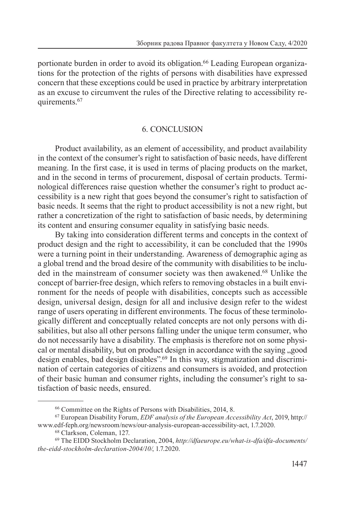portionate burden in order to avoid its obligation.66 Leading European organizations for the protection of the rights of persons with disabilities have expressed concern that these exceptions could be used in practice by arbitrary interpretation as an excuse to circumvent the rules of the Directive relating to accessibility requirements.<sup>67</sup>

#### 6. CONCLUSION

Product availability, as an element of accessibility, and product availability in the context of the consumer's right to satisfaction of basic needs, have different meaning. In the first case, it is used in terms of placing products on the market, and in the second in terms of procurement, disposal of certain products. Terminological differences raise question whether the consumer's right to product accessibility is a new right that goes beyond the consumer's right to satisfaction of basic needs. It seems that the right to product accessibility is not a new right, but rather a concretization of the right to satisfaction of basic needs, by determining its content and ensuring consumer equality in satisfying basic needs.

By taking into consideration different terms and concepts in the context of product design and the right to accessibility, it can be concluded that the 1990s were a turning point in their understanding. Awareness of demographic aging as a global trend and the broad desire of the community with disabilities to be included in the mainstream of consumer society was then awakened.<sup>68</sup> Unlike the concept of barrier-free design, which refers to removing obstacles in a built environment for the needs of people with disabilities, concepts such as accessible design, universal design, design for all and inclusive design refer to the widest range of users operating in different environments. The focus of these terminologically different and conceptually related concepts are not only persons with disabilities, but also all other persons falling under the unique term consumer, who do not necessarily have a disability. The emphasis is therefore not on some physical or mental disability, but on product design in accordance with the saying , good design enables, bad design disables".69 In this way, stigmatization and discrimination of certain categories of citizens and consumers is avoided, and protection of their basic human and consumer rights, including the consumer's right to satisfaction of basic needs, ensured.

<sup>66</sup> Committee on the Rights of Persons with Disabilities, 2014, 8.

<sup>67</sup> European Disability Forum, *EDF analysis of the European Accessibility Act*, 2019, http:// www.edf-feph.org/newsroom/news/our-analysis-european-accessibility-act, 1.7.2020.

<sup>68</sup> Clarkson, Coleman, 127.

<sup>69</sup> The EIDD Stockholm Declaration, 2004, *http://dfaeurope.eu/what-is-dfa/dfa-documents/ the-eidd-stockholm-declaration-2004/10/*, 1.7.2020.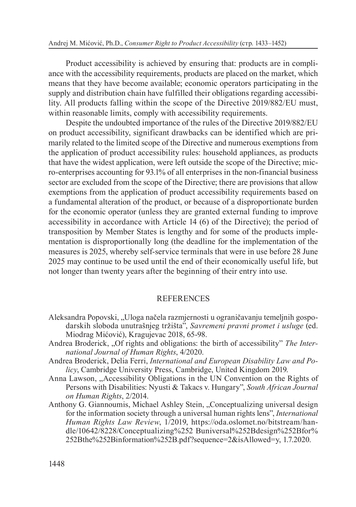Product accessibility is achieved by ensuring that: products are in compliance with the accessibility requirements, products are placed on the market, which means that they have become available; economic operators participating in the supply and distribution chain have fulfilled their obligations regarding accessibility. All products falling within the scope of the Directive 2019/882/EU must, within reasonable limits, comply with accessibility requirements.

Despite the undoubted importance of the rules of the Directive 2019/882/EU on product accessibility, significant drawbacks can be identified which are primarily related to the limited scope of the Directive and numerous exemptions from the application of product accessibility rules: household appliances, as products that have the widest application, were left outside the scope of the Directive; micro-enterprises accounting for 93.1% of all enterprises in the non-financial business sector are excluded from the scope of the Directive; there are provisions that allow exemptions from the application of product accessibility requirements based on a fundamental alteration of the product, or because of a disproportionate burden for the economic operator (unless they are granted external funding to improve accessibility in accordance with Article 14 (6) of the Directive); the period of transposition by Member States is lengthy and for some of the products implementation is disproportionally long (the deadline for the implementation of the measures is 2025, whereby self-service terminals that were in use before 28 June 2025 may continue to be used until the end of their economically useful life, but not longer than twenty years after the beginning of their entry into use.

### **REFERENCES**

- Aleksandra Popovski, "Uloga načela razmjernosti u ograničavanju temeljnih gospodarskih sloboda unutrašnjeg tržišta", *Savremeni pravni promet i usluge* (ed. Miodrag Mićović), Kragujevac 2018, 65-98.
- Andrea Broderick, "Of rights and obligations: the birth of accessibility" *The International Journal of Human Rights*, 4/2020.
- Andrea Broderick, Delia Ferri, *International and European Disability Law and Policy*, Cambridge University Press, Cambridge, United Kingdom 2019.
- Anna Lawson, "Accessibility Obligations in the UN Convention on the Rights of Persons with Disabilities: Nyusti & Takacs v. Hungary", *South African Journal on Human Rights*, 2/2014.
- Anthony G. Giannoumis, Michael Ashley Stein, "Conceptualizing universal design for the information society through a universal human rights lens", *International Human Rights Law Review*, 1/2019, https://oda.oslomet.no/bitstream/handle/10642/8228/Conceptualizing%252 Buniversal%252Bdesign%252Bfor% 252Bthe%252Binformation%252B.pdf?sequence=2&isAllowed=y, 1.7.2020.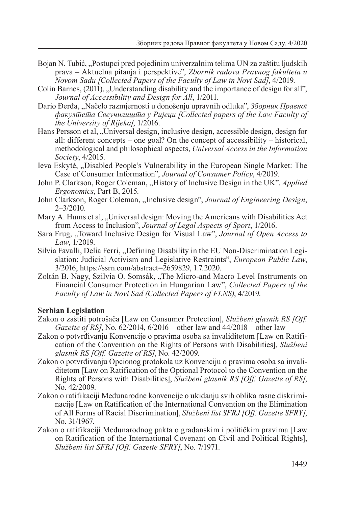- Bojan N. Tubić, "Postupci pred pojedinim univerzalnim telima UN za zaštitu ljudskih prava – Aktuelna pitanja i perspektive", *Zbornik radova Pravnog fakulteta u Novom Sadu [Collected Papers of the Faculty of Law in Novi Sad]*, 4/2019.
- Colin Barnes,  $(2011)$ , Understanding disability and the importance of design for all", *Journal of Accessibility and Design for All*, 1/2011.
- Dario Đerđa, "Načelo razmjernosti u donošenju upravnih odluka", *Зборник Правног факултета Свеучилишта у Ријеци [Collected papers of the Law Faculty of the University of Rijeka]*, 1/2016.
- Hans Persson et al, "Universal design, inclusive design, accessible design, design for all: different concepts – one goal? On the concept of accessibility – historical, methodological and philosophical aspects, *Universal Access in the Information Society*, 4/2015.
- Ieva Eskytė, "Disabled People's Vulnerability in the European Single Market: The Case of Consumer Information", *Journal of Consumer Policy*, 4/2019.
- John P. Clarkson, Roger Coleman, "History of Inclusive Design in the UK", *Applied Ergonomics*, Part B, 2015.
- John Clarkson, Roger Coleman, "Inclusive design", *Journal of Engineering Design*, 2–3/2010.
- Mary A. Hums et al, "Universal design: Moving the Americans with Disabilities Act from Access to Inclusion", *Journal of Legal Aspects of Sport*, 1/2016.
- Sara Frug, "Toward Inclusive Design for Visual Law", *Journal of Open Access to Law*, 1/2019.
- Silvia Favalli, Delia Ferri, "Defining Disability in the EU Non-Discrimination Legislation: Judicial Activism and Legislative Restraints", *European Public Law*, 3/2016, https://ssrn.com/abstract=2659829, 1.7.2020.
- Zoltán B. Nagy, Szilvia O. Somsák, "The Micro-and Macro Level Instruments on Financial Consumer Protection in Hungarian Law", *Collected Papers of the Faculty of Law in Novi Sad (Collected Papers of FLNS)*, 4/2019.

#### **Serbian Legislation**

- Zakon o zaštiti potrošača [Law on Consumer Protection], *Službeni glasnik RS [Off. Gazette of RS]*, No. 62/2014, 6/2016 – other law and 44/2018 – other law
- Zakon o potvrđivanju Konvencije o pravima osoba sa invaliditetom [Law on Ratification of the Convention on the Rights of Persons with Disabilities], *Službeni glasnik RS [Off. Gazette of RS]*, No. 42/2009.
- Zakon o potvrđivanju Opcionog protokola uz Кonvenciju o pravima osoba sa invaliditetom [Law on Ratification of the Optional Protocol to the Convention on the Rights of Persons with Disabilities], *Službeni glasnik RS [Off. Gazette of RS]*, No. 42/2009.
- Zakon o ratifikaciji Međunarodne konvencije o ukidanju svih oblika rasne diskriminacije [Law on Ratification of the International Convention on the Elimination of All Forms of Racial Discrimination], *Službeni list SFRJ [Off. Gazette SFRY]*, No. 31/1967.
- Zakon o ratifikaciji Međunarodnog pakta o građanskim i političkim pravima [Law on Ratification of the International Covenant on Civil and Political Rights], *Službeni list SFRJ [Off. Gazette SFRY]*, No. 7/1971.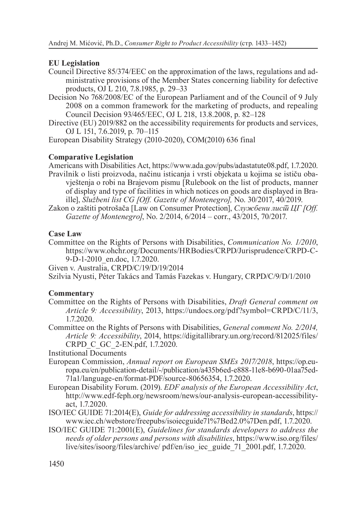## **EU Legislation**

- Council Directive 85/374/EEC on the approximation of the laws, regulations and administrative provisions of the Member States concerning liability for defective products, OJ L 210, 7.8.1985, p. 29–33
- Decision No 768/2008/EC of the European Parliament and of the Council of 9 July 2008 on a common framework for the marketing of products, and repealing Council Decision 93/465/EEC, OJ L 218, 13.8.2008, p. 82–128
- Directive (EU) 2019/882 on the accessibility requirements for products and services, OJ L 151, 7.6.2019, p. 70–115

European Disability Strategy (2010-2020), COM(2010) 636 final

## **Comparative Legislation**

Americans with Disabilities Act, https://www.ada.gov/pubs/adastatute08.pdf, 1.7.2020. Pravilnik o listi proizvoda, načinu isticanja i vrsti objekata u kojima se ističu obavještenja o robi na Brajevom pismu [Rulebook on the list of products, manner of display and type of facilities in which notices on goods are displayed in Braille], *Službeni list CG [Off. Gazette of Montenegro],* No. 30/2017, 40/2019.

Zakon o zaštiti potrošača [Law on Consumer Protection], *Службени лист ЦГ [Off. Gazette of Montenegro]*, No. 2/2014, 6/2014 – corr., 43/2015, 70/2017.

## **Case Law**

Committee on the Rights of Persons with Disabilities, *Communication No. 1/2010*, https://www.ohchr.org/Documents/HRBodies/CRPD/Jurisprudence/CRPD-C-9-D-1-2010\_en.doc, 1.7.2020.

Given v. Australia, CRPD/C/19/D/19/2014

Szilvia Nyusti, Péter Takács and Tamás Fazekas v. Hungary, CRPD/C/9/D/1/2010

#### **Commentary**

- Committee on the Rights of Persons with Disabilities, *Draft General comment on Article 9: Accessibility*, 2013, https://undocs.org/pdf?symbol=CRPD/C/11/3, 1.7.2020.
- Committee on the Rights of Persons with Disabilities, *General comment No. 2/2014, Article 9: Accessibility*, 2014, https://digitallibrary.un.org/record/812025/files/ CRPD\_C\_GC\_2-EN.pdf, 1.7.2020.

#### Institutional Documents

- European Commission, *Annual report on European SMEs 2017/2018*, https://op.europa.eu/en/publication-detail/-/publication/a435b6ed-e888-11e8-b690-01aa75ed-71a1/language-en/format-PDF/source-80656354, 1.7.2020.
- European Disability Forum. (2019). *EDF analysis of the European Accessibility Act*, http://www.edf-feph.org/newsroom/news/our-analysis-european-accessibilityact, 1.7.2020.
- ISO/IEC GUIDE 71:2014(E), *Guide for addressing accessibility in standards*, https:// www.iec.ch/webstore/freepubs/isoiecguide71%7Bed2.0%7Den.pdf, 1.7.2020.
- ISO/IEC GUIDE 71:2001(E), *Guidelines for standards developers to address the needs of older persons and persons with disabilities*, https://www.iso.org/files/ live/sites/isoorg/files/archive/ pdf/en/iso\_iec\_guide\_71\_2001.pdf, 1.7.2020.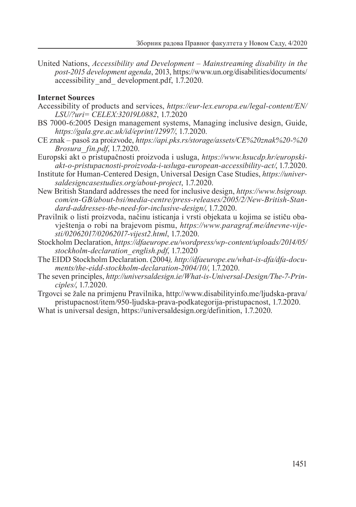United Nations, *Accessibility and Development – Mainstreaming disability in the post-2015 development agenda*, 2013, https://www.un.org/disabilities/documents/ accessibility\_and\_ development.pdf, 1.7.2020.

#### **Internet Sources**

- Accessibility of products and services, *https://eur-lex.europa.eu/legal-content/EN/ LSU/?uri= CELEX:32019L0882*, 1.7.2020
- BS 7000-6:2005 Design management systems, Managing inclusive design, Guide, *https://gala.gre.ac.uk/id/eprint/12997/*, 1.7.2020.
- CE znak pasoš za proizvode, *https://api.pks.rs/storage/assets/CE%20znak%20-%20 Brosura\_ fin.pdf*, 1.7.2020.
- Europski akt o pristupačnosti proizvoda i usluga, *https://www.hsucdp.hr/europskiakt-o-pristupacnosti-proizvoda-i-usluga-european-accessibility-act/*, 1.7.2020.
- Institute for Human-Centered Design, Universal Design Case Studies, *https://universaldesigncasestudies.org/about-project*, 1.7.2020.
- New British Standard addresses the need for inclusive design, *https://www.bsigroup. com/en-GB/about-bsi/media-centre/press-releases/2005/2/New-British-Standard-addresses-the-need-for-inclusive-design/*, 1.7.2020.
- Pravilnik o listi proizvoda, načinu isticanja i vrsti objekata u kojima se ističu obavještenja o robi na brajevom pismu, *https://www.paragraf.me/dnevne-vijesti/02062017/02062017-vijest2.html*, 1.7.2020.
- Stockholm Declaration, *https://dfaeurope.eu/wordpress/wp-content/uploads/2014/05/ stockholm-declaration\_english.pdf*, 1.7.2020
- The EIDD Stockholm Declaration. (2004*), http://dfaeurope.eu/what-is-dfa/dfa-documents/the-eidd-stockholm-declaration-2004/10/*, 1.7.2020.
- The seven principles, *http://universaldesign.ie/What-is-Universal-Design/The-7-Principles/*, 1.7.2020.
- Trgovci se žale na primjenu Pravilnika, http://www.disabilityinfo.me/ljudska-prava/ pristupacnost/item/950-ljudska-prava-podkategorija-pristupacnost, 1.7.2020.
- What is universal design, https://universaldesign.org/definition, 1.7.2020.